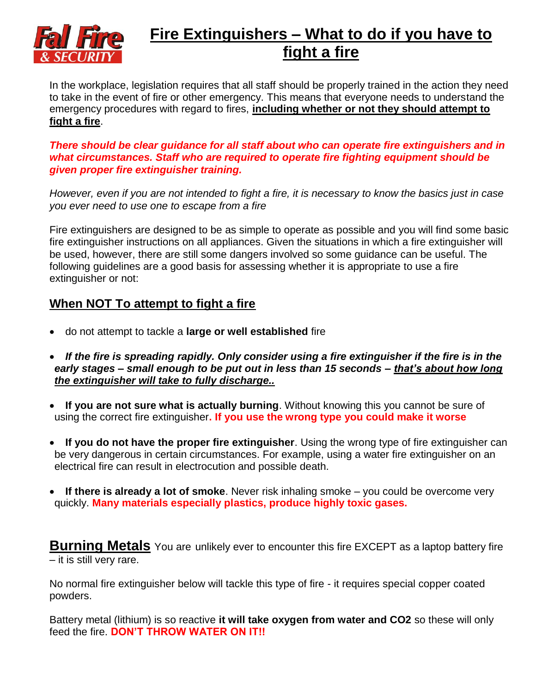

# **Fire Extinguishers – What to do if you have to fight a fire**

In the workplace, legislation requires that all staff should be properly trained in the action they need to take in the event of fire or other emergency. This means that everyone needs to understand the emergency procedures with regard to fires, **including whether or not they should attempt to fight a fire**.

*There should be clear guidance for all staff about who can operate fire extinguishers and in what circumstances. Staff who are required to operate fire fighting equipment should be given proper fire extinguisher training.*

*However, even if you are not intended to fight a fire, it is necessary to know the basics just in case you ever need to use one to escape from a fire*

Fire extinguishers are designed to be as simple to operate as possible and you will find some basic fire extinguisher instructions on all appliances. Given the situations in which a fire extinguisher will be used, however, there are still some dangers involved so some guidance can be useful. The following guidelines are a good basis for assessing whether it is appropriate to use a fire extinguisher or not:

# **When NOT To attempt to fight a fire**

- do not attempt to tackle a **large or well established** fire
- If the fire is spreading rapidly. Only consider using a fire extinguisher if the fire is in the *early stages – small enough to be put out in less than 15 seconds – that's about how long the extinguisher will take to fully discharge..*
- **If you are not sure what is actually burning**. Without knowing this you cannot be sure of using the correct fire extinguisher**. If you use the wrong type you could make it worse**
- **If you do not have the proper fire extinguisher**. Using the wrong type of fire extinguisher can be very dangerous in certain circumstances. For example, using a water fire extinguisher on an electrical fire can result in electrocution and possible death.
- **If there is already a lot of smoke**. Never risk inhaling smoke you could be overcome very quickly. **Many materials especially plastics, produce highly toxic gases.**

**Burning Metals** You are unlikely ever to encounter this fire EXCEPT as a laptop battery fire – it is still very rare.

No normal fire extinguisher below will tackle this type of fire - it requires special copper coated powders.

Battery metal (lithium) is so reactive **it will take oxygen from water and CO2** so these will only feed the fire. **DON'T THROW WATER ON IT!!**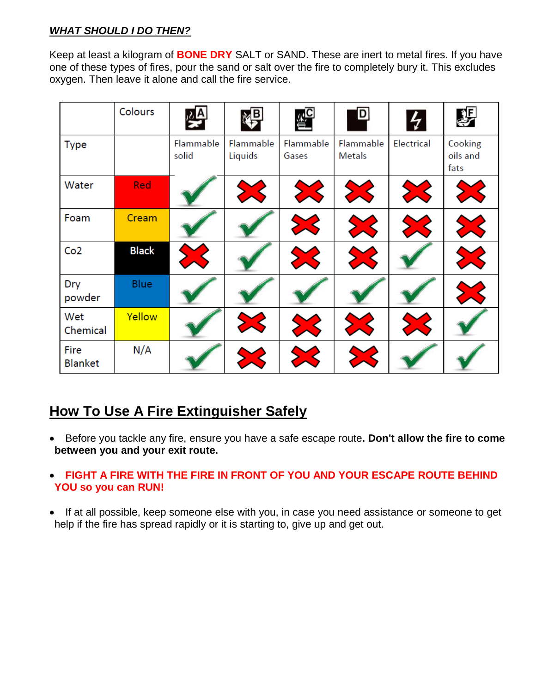#### *WHAT SHOULD I DO THEN?*

Keep at least a kilogram of **BONE DRY** SALT or SAND. These are inert to metal fires. If you have one of these types of fires, pour the sand or salt over the fire to completely bury it. This excludes oxygen. Then leave it alone and call the fire service.

|                        | Colours      | $\mathbb{Z}^{ \mathbf{A} }$ | 焊                    | <b>AC</b>          | $\ddot{p}$                 | $\frac{1}{7}$ | 等                           |
|------------------------|--------------|-----------------------------|----------------------|--------------------|----------------------------|---------------|-----------------------------|
| <b>Type</b>            |              | Flammable<br>solid          | Flammable<br>Liquids | Flammable<br>Gases | Flammable<br><b>Metals</b> | Electrical    | Cooking<br>oils and<br>fats |
| Water                  | Red          |                             |                      |                    |                            |               |                             |
| Foam                   | Cream        |                             |                      |                    |                            |               |                             |
| Co2                    | <b>Black</b> |                             |                      |                    |                            |               |                             |
| Dry<br>powder          | <b>Blue</b>  |                             |                      |                    |                            |               |                             |
| Wet<br>Chemical        | Yellow       |                             |                      |                    |                            |               |                             |
| Fire<br><b>Blanket</b> | N/A          |                             |                      |                    |                            |               |                             |

# **How To Use A Fire Extinguisher Safely**

 Before you tackle any fire, ensure you have a safe escape route**. Don't allow the fire to come between you and your exit route.**

#### **FIGHT A FIRE WITH THE FIRE IN FRONT OF YOU AND YOUR ESCAPE ROUTE BEHIND YOU so you can RUN!**

 If at all possible, keep someone else with you, in case you need assistance or someone to get help if the fire has spread rapidly or it is starting to, give up and get out.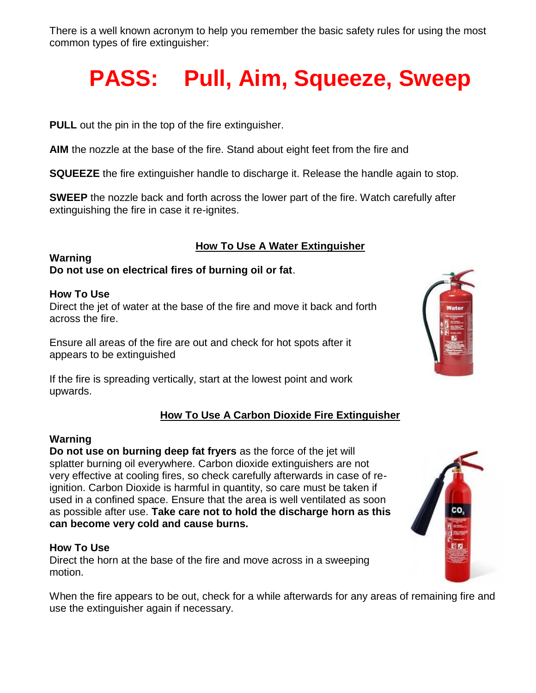There is a well known acronym to help you remember the basic safety rules for using the most common types of fire extinguisher:

# **PASS: Pull, Aim, Squeeze, Sweep**

**PULL** out the pin in the top of the fire extinguisher.

**AIM** the nozzle at the base of the fire. Stand about eight feet from the fire and

**SQUEEZE** the fire extinguisher handle to discharge it. Release the handle again to stop.

**SWEEP** the nozzle back and forth across the lower part of the fire. Watch carefully after extinguishing the fire in case it re-ignites.

#### **How To Use A Water Extinguisher**

#### **Warning Do not use on electrical fires of burning oil or fat**.

#### **How To Use**

Direct the jet of water at the base of the fire and move it back and forth across the fire.

Ensure all areas of the fire are out and check for hot spots after it appears to be extinguished

If the fire is spreading vertically, start at the lowest point and work upwards.

# **How To Use A [Carbon Dioxide Fire Extinguisher](http://www.fire-riskassessment.com/fire-extinguishers/carbon-dioxide-fire-extinguisher.html)**

#### **Warning**

**Do not use on burning deep fat fryers** as the force of the jet will splatter burning oil everywhere. Carbon dioxide extinguishers are not very effective at cooling fires, so check carefully afterwards in case of reignition. Carbon Dioxide is harmful in quantity, so care must be taken if used in a confined space. Ensure that the area is well ventilated as soon as possible after use. **Take care not to hold the discharge horn as this can become very cold and cause burns.**

#### **How To Use**

Direct the horn at the base of the fire and move across in a sweeping motion.

When the fire appears to be out, check for a while afterwards for any areas of remaining fire and use the extinguisher again if necessary.



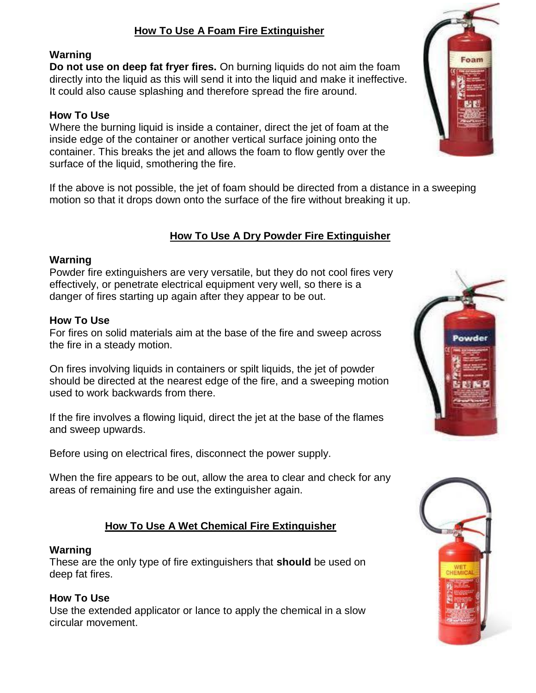# **How To Use A Foam Fire Extinguisher**

# **Warning**

**Do not use on deep fat fryer fires.** On burning liquids do not aim the foam directly into the liquid as this will send it into the liquid and make it ineffective. It could also cause splashing and therefore spread the fire around.

# **How To Use**

Where the burning liquid is inside a container, direct the jet of foam at the inside edge of the container or another vertical surface joining onto the container. This breaks the jet and allows the foam to flow gently over the surface of the liquid, smothering the fire.

If the above is not possible, the jet of foam should be directed from a distance in a sweeping motion so that it drops down onto the surface of the fire without breaking it up.

# **How To Use A [Dry Powder Fire Extinguisher](http://www.fire-riskassessment.com/fire-extinguishers/dry-powder-fire-extinguisher.html)**

#### **Warning**

Powder fire extinguishers are very versatile, but they do not cool fires very effectively, or penetrate electrical equipment very well, so there is a danger of fires starting up again after they appear to be out.

#### **How To Use**

For fires on solid materials aim at the base of the fire and sweep across the fire in a steady motion.

On fires involving liquids in containers or spilt liquids, the jet of powder should be directed at the nearest edge of the fire, and a sweeping motion used to work backwards from there.

If the fire involves a flowing liquid, direct the jet at the base of the flames and sweep upwards.

Before using on electrical fires, disconnect the power supply.

When the fire appears to be out, allow the area to clear and check for any areas of remaining fire and use the extinguisher again.

# **How To Use A Wet Chemical Fire Extinguisher**

#### **Warning**

These are the only type of fire extinguishers that **should** be used on deep fat fires.

#### **How To Use**

Use the extended applicator or lance to apply the chemical in a slow circular movement.